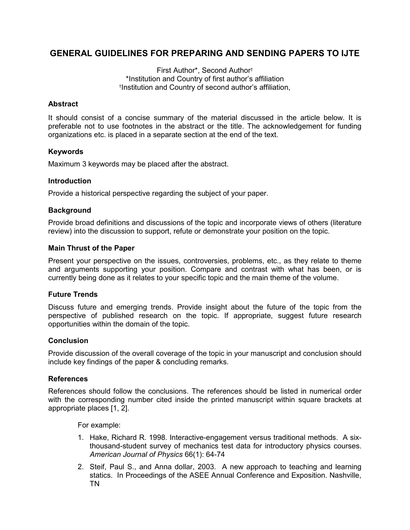# GENERAL GUIDELINES FOR PREPARING AND SENDING PAPERS TO IJTE

First Author\*, Second Author† \*Institution and Country of first author's affiliation † Institution and Country of second author's affiliation,

### **Abstract**

It should consist of a concise summary of the material discussed in the article below. It is preferable not to use footnotes in the abstract or the title. The acknowledgement for funding organizations etc. is placed in a separate section at the end of the text.

### Keywords

Maximum 3 keywords may be placed after the abstract.

### Introduction

Provide a historical perspective regarding the subject of your paper.

### **Background**

Provide broad definitions and discussions of the topic and incorporate views of others (literature review) into the discussion to support, refute or demonstrate your position on the topic.

### Main Thrust of the Paper

Present your perspective on the issues, controversies, problems, etc., as they relate to theme and arguments supporting your position. Compare and contrast with what has been, or is currently being done as it relates to your specific topic and the main theme of the volume.

### Future Trends

Discuss future and emerging trends. Provide insight about the future of the topic from the perspective of published research on the topic. If appropriate, suggest future research opportunities within the domain of the topic.

### **Conclusion**

Provide discussion of the overall coverage of the topic in your manuscript and conclusion should include key findings of the paper & concluding remarks.

### **References**

References should follow the conclusions. The references should be listed in numerical order with the corresponding number cited inside the printed manuscript within square brackets at appropriate places [1, 2].

For example:

- 1. Hake, Richard R. 1998. Interactive-engagement versus traditional methods. A sixthousand-student survey of mechanics test data for introductory physics courses. American Journal of Physics 66(1): 64-74
- 2. Steif, Paul S., and Anna dollar, 2003. A new approach to teaching and learning statics. In Proceedings of the ASEE Annual Conference and Exposition. Nashville, TN